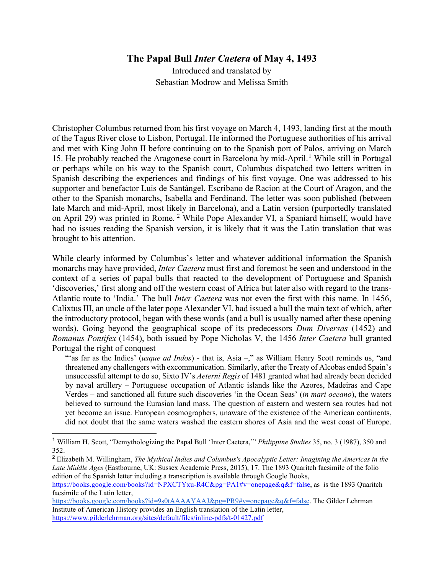## **The Papal Bull** *Inter Caetera* **of May 4, 1493**

Introduced and translated by Sebastian Modrow and Melissa Smith

Christopher Columbus returned from his first voyage on March 4, 1493, landing first at the mouth of the Tagus River close to Lisbon, Portugal. He informed the Portuguese authorities of his arrival and met with King John II before continuing on to the Spanish port of Palos, arriving on March [1](#page-0-0)5. He probably reached the Aragonese court in Barcelona by mid-April.<sup>1</sup> While still in Portugal or perhaps while on his way to the Spanish court, Columbus dispatched two letters written in Spanish describing the experiences and findings of his first voyage. One was addressed to his supporter and benefactor Luis de Santángel, Escribano de Racion at the Court of Aragon, and the other to the Spanish monarchs, Isabella and Ferdinand. The letter was soon published (between late March and mid-April, most likely in Barcelona), and a Latin version (purportedly translated on April 29) was printed in Rome. [2](#page-0-1) While Pope Alexander VI, a Spaniard himself, would have had no issues reading the Spanish version, it is likely that it was the Latin translation that was brought to his attention.

While clearly informed by Columbus's letter and whatever additional information the Spanish monarchs may have provided, *Inter Caetera* must first and foremost be seen and understood in the context of a series of papal bulls that reacted to the development of Portuguese and Spanish 'discoveries,' first along and off the western coast of Africa but later also with regard to the trans-Atlantic route to 'India.' The bull *Inter Caetera* was not even the first with this name. In 1456, Calixtus III, an uncle of the later pope Alexander VI, had issued a bull the main text of which, after the introductory protocol, began with these words (and a bull is usually named after these opening words). Going beyond the geographical scope of its predecessors *Dum Diversas* (1452) and *Romanus Pontifex* (1454), both issued by Pope Nicholas V, the 1456 *Inter Caetera* bull granted Portugal the right of conquest

"'as far as the Indies' (*usque ad Indos*) - that is, Asia –," as William Henry Scott reminds us, "and threatened any challengers with excommunication. Similarly, after the Treaty of Alcobas ended Spain's unsuccessful attempt to do so, Sixto IV's *Aeterni Regis* of 1481 granted what had already been decided by naval artillery – Portuguese occupation of Atlantic islands like the Azores, Madeiras and Cape Verdes – and sanctioned all future such discoveries 'in the Ocean Seas' (*in mari oceano*), the waters believed to surround the Eurasian land mass. The question of eastern and western sea routes had not yet become an issue. European cosmographers, unaware of the existence of the American continents, did not doubt that the same waters washed the eastern shores of Asia and the west coast of Europe.

<span id="page-0-0"></span><sup>1</sup> William H. Scott, "Demythologizing the Papal Bull 'Inter Caetera,'" *Philippine Studies* 35, no. 3 (1987), 350 and 352.

<span id="page-0-1"></span><sup>2</sup> Elizabeth M. Willingham, *The Mythical Indies and Columbus's Apocalyptic Letter: Imagining the Americas in the Late Middle Ages* (Eastbourne, UK: Sussex Academic Press, 2015), 17. The 1893 Quaritch facsimile of the folio edition of the Spanish letter including a transcription is available through Google Books,

[https://books.google.com/books?id=NPXCTYxu-R4C&pg=PA1#v=onepage&q&f=false,](https://books.google.com/books?id=NPXCTYxu-R4C&pg=PA1#v=onepage&q&f=false) as is the 1893 Quaritch facsimile of the Latin letter,

[https://books.google.com/books?id=9s0tAAAAYAAJ&pg=PR9#v=onepage&q&f=false.](https://books.google.com/books?id=9s0tAAAAYAAJ&pg=PR9#v=onepage&q&f=false) The Gilder Lehrman Institute of American History provides an English translation of the Latin letter, <https://www.gilderlehrman.org/sites/default/files/inline-pdfs/t-01427.pdf>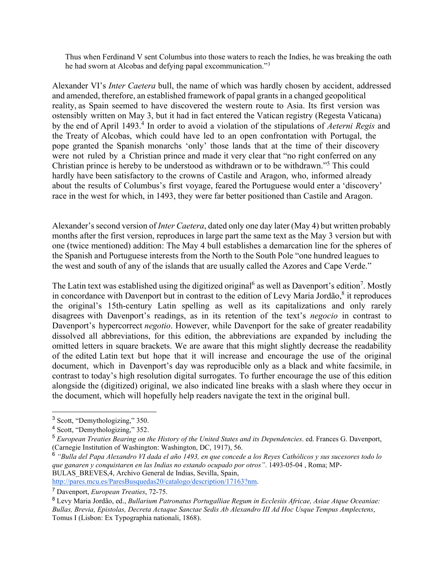Thus when Ferdinand V sent Columbus into those waters to reach the Indies, he was breaking the oath he had sworn at Alcobas and defying papal excommunication."<sup>[3](#page-1-0)</sup>

Alexander VI's *Inter Caetera* bull, the name of which was hardly chosen by accident, addressed and amended, therefore, an established framework of papal grants in a changed geopolitical reality, as Spain seemed to have discovered the western route to Asia. Its first version was ostensibly written on May 3, but it had in fact entered the Vatican registry (Regesta Vaticana) by the end of April 1[4](#page-1-1)93.<sup>4</sup> In order to avoid a violation of the stipulations of *Aeterni Regis* and the Treaty of Alcobas, which could have led to an open confrontation with Portugal, the pope granted the Spanish monarchs 'only' those lands that at the time of their discovery were not ruled by a Christian prince and made it very clear that "no right conferred on any Christian prince is hereby to be understood as withdrawn or to be withdrawn."[5](#page-1-2) This could hardly have been satisfactory to the crowns of Castile and Aragon, who, informed already about the results of Columbus's first voyage, feared the Portuguese would enter a 'discovery' race in the west for which, in 1493, they were far better positioned than Castile and Aragon.

Alexander'ssecond version of *Inter Caetera*, dated only one day later (May 4) but written probably months after the first version, reproduces in large part the same text as the May 3 version but with one (twice mentioned) addition: The May 4 bull establishes a demarcation line for the spheres of the Spanish and Portuguese interests from the North to the South Pole "one hundred leagues to the west and south of any of the islands that are usually called the Azores and Cape Verde."

The Latin text was established using the digitized original<sup>[6](#page-1-3)</sup> as well as Davenport's edition<sup>[7](#page-1-4)</sup>. Mostly in concordance with Davenport but in contrast to the edition of Levy Maria Jordão, $8$  it reproduces the original's 15th-century Latin spelling as well as its capitalizations and only rarely disagrees with Davenport's readings, as in its retention of the text's *negocio* in contrast to Davenport's hypercorrect *negotio*. However, while Davenport for the sake of greater readability dissolved all abbreviations, for this edition, the abbreviations are expanded by including the omitted letters in square brackets. We are aware that this might slightly decrease the readability of the edited Latin text but hope that it will increase and encourage the use of the original document, which in Davenport's day was reproducible only as a black and white facsimile, in contrast to today's high resolution digital surrogates. To further encourage the use of this edition alongside the (digitized) original, we also indicated line breaks with a slash where they occur in the document, which will hopefully help readers navigate the text in the original bull.

[http://pares.mcu.es/ParesBusquedas20/catalogo/description/17163?nm.](http://pares.mcu.es/ParesBusquedas20/catalogo/description/17163?nm)

<span id="page-1-0"></span><sup>3</sup> Scott, "Demythologizing," 350.

<span id="page-1-1"></span><sup>4</sup> Scott, "Demythologizing," 352.

<span id="page-1-2"></span><sup>5</sup> *European Treaties Bearing on the History of the United States and its Dependencies*. ed. Frances G. Davenport, (Carnegie Institution of Washington: Washington, DC, 1917), 56.

<span id="page-1-3"></span><sup>6</sup> *"Bulla del Papa Alexandro VI dada el año 1493, en que concede a los Reyes Cathólicos y sus sucesores todo lo que ganaren y conquistaren en las Indias no estando ocupado por otros"*. 1493-05-04 , Roma; MP-BULAS\_BREVES,4, Archivo General de Indias, Sevilla, Spain,

<span id="page-1-4"></span><sup>7</sup> Davenport, *European Treaties*, 72-75.

<span id="page-1-5"></span><sup>8</sup> Levy Maria Jordão, ed., *Bullarium Patronatus Portugalliae Regum in Ecclesiis Africae, Asiae Atque Oceaniae: Bullas, Brevia, Epistolas, Decreta Actaque Sanctae Sedis Ab Alexandro III Ad Hoc Usque Tempus Amplectens*, Tomus I (Lisbon: Ex Typographia nationali, 1868).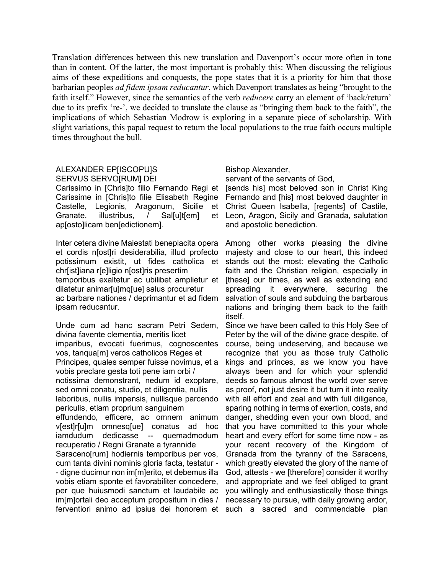Translation differences between this new translation and Davenport's occur more often in tone than in content. Of the latter, the most important is probably this: When discussing the religious aims of these expeditions and conquests, the pope states that it is a priority for him that those barbarian peoples *ad fidem ipsam reducantur*, which Davenport translates as being "brought to the faith itself." However, since the semantics of the verb *reducere* carry an element of 'back/return' due to its prefix 're-', we decided to translate the clause as "bringing them back to the faith", the implications of which Sebastian Modrow is exploring in a separate piece of scholarship. With slight variations, this papal request to return the local populations to the true faith occurs multiple times throughout the bull.

## ALEXANDER EP[ISCOPU]S SERVUS SERVO[RUM] DEI

Carissimo in [Chris]to filio Fernando Regi et Carissime in [Chris]to filie Elisabeth Regine Castelle, Legionis, Aragonum, Sicilie et Granate, illustribus, / Sal[u]t[em] et ap[osto]licam ben[edictionem].

Inter cetera divine Maiestati beneplacita opera et cordis n[ost]ri desiderabilia, illud profecto potissimum existit, ut fides catholica et chr[ist]iana r[e]ligio n[ost]ris presertim temporibus exaltetur ac ubilibet amplietur et dilatetur animar[u]mq[ue] salus procuretur ac barbare nationes / deprimantur et ad fidem ipsam reducantur.

Unde cum ad hanc sacram Petri Sedem, divina favente clementia, meritis licet imparibus, evocati fuerimus, cognoscentes vos, tanqua[m] veros catholicos Reges et Principes, quales semper fuisse novimus, et a vobis preclare gesta toti pene iam orbi / notissima demonstrant, nedum id exoptare, sed omni conatu, studio, et diligentia, nullis laboribus, nullis impensis, nullisque parcendo periculis, etiam proprium sanguinem effundendo, efficere, ac omnem animum v[est]r[u]m omnesq[ue] conatus ad hoc iamdudum dedicasse -- quemadmodum recuperatio / Regni Granate a tyrannide Saraceno[rum] hodiernis temporibus per vos, cum tanta divini nominis gloria facta, testatur - - digne ducimur non im[m]erito, et debemus illa vobis etiam sponte et favorabiliter concedere, per que huiusmodi sanctum et laudabile ac im[m]ortali deo acceptum propositum in dies / ferventiori animo ad ipsius dei honorem et

## Bishop Alexander,

servant of the servants of God,

[sends his] most beloved son in Christ King Fernando and [his] most beloved daughter in Christ Queen Isabella, [regents] of Castile, Leon, Aragon, Sicily and Granada, salutation and apostolic benediction.

Among other works pleasing the divine majesty and close to our heart, this indeed stands out the most: elevating the Catholic faith and the Christian religion, especially in [these] our times, as well as extending and spreading it everywhere, securing the salvation of souls and subduing the barbarous nations and bringing them back to the faith itself.

Since we have been called to this Holy See of Peter by the will of the divine grace despite, of course, being undeserving, and because we recognize that you as those truly Catholic kings and princes, as we know you have always been and for which your splendid deeds so famous almost the world over serve as proof, not just desire it but turn it into reality with all effort and zeal and with full diligence, sparing nothing in terms of exertion, costs, and danger, shedding even your own blood, and that you have committed to this your whole heart and every effort for some time now - as your recent recovery of the Kingdom of Granada from the tyranny of the Saracens, which greatly elevated the glory of the name of God, attests - we [therefore] consider it worthy and appropriate and we feel obliged to grant you willingly and enthusiastically those things necessary to pursue, with daily growing ardor, such a sacred and commendable plan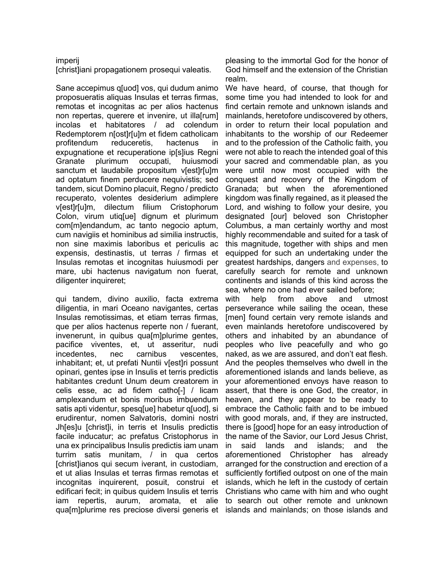## imperij

[christ]iani propagationem prosequi valeatis.

Sane accepimus q[uod] vos, qui dudum animo proposueratis aliquas Insulas et terras firmas, remotas et incognitas ac per alios hactenus non repertas, querere et invenire, ut illa[rum] incolas et habitatores / ad colendum Redemptorem n[ost]r[u]m et fidem catholicam profitendum reduceretis, hactenus in expugnatione et recuperatione ip[s]ius Regni Granate plurimum occupati, huiusmodi sanctum et laudabile propositum v[est]r[u]m ad optatum finem perducere nequivistis; sed tandem, sicut Domino placuit, Regno / predicto recuperato, volentes desiderium adimplere v[est]r[u]m, dilectum filium Cristophorum Colon, virum utiq[ue] dignum et plurimum com[m]endandum, ac tanto negocio aptum, cum navigiis et hominibus ad similia instructis, non sine maximis laboribus et periculis ac expensis, destinastis, ut terras / firmas et Insulas remotas et incognitas huiusmodi per mare, ubi hactenus navigatum non fuerat, diligenter inquireret;

qui tandem, divino auxilio, facta extrema diligentia, in mari Oceano navigantes, certas Insulas remotissimas, et etiam terras firmas, que per alios hactenus reperte non / fuerant, invenerunt, in quibus qua[m]plurime gentes, pacifice viventes, et, ut asseritur, nudi incedentes, nec carnibus vescentes, inhabitant; et, ut prefati Nuntii v[est]ri possunt opinari, gentes ipse in Insulis et terris predictis habitantes credunt Unum deum creatorem in celis esse, ac ad fidem catho[-] / licam amplexandum et bonis moribus imbuendum satis apti videntur, spesq[ue] habetur q[uod], si erudirentur, nomen Salvatoris, domini nostri Jh[es]u [christ]i, in terris et Insulis predictis facile inducatur; ac prefatus Cristophorus in una ex principalibus Insulis predictis iam unam turrim satis munitam, / in qua certos [christ]ianos qui secum iverant, in custodiam, et ut alias Insulas et terras firmas remotas et incognitas inquirerent, posuit, construi et edificari fecit; in quibus quidem Insulis et terris iam repertis, aurum, aromata, et alie qua[m]plurime res preciose diversi generis et

pleasing to the immortal God for the honor of God himself and the extension of the Christian realm.

We have heard, of course, that though for some time you had intended to look for and find certain remote and unknown islands and mainlands, heretofore undiscovered by others, in order to return their local population and inhabitants to the worship of our Redeemer and to the profession of the Catholic faith, you were not able to reach the intended goal of this your sacred and commendable plan, as you were until now most occupied with the conquest and recovery of the Kingdom of Granada; but when the aforementioned kingdom was finally regained, as it pleased the Lord, and wishing to follow your desire, you designated [our] beloved son Christopher Columbus, a man certainly worthy and most highly recommendable and suited for a task of this magnitude, together with ships and men equipped for such an undertaking under the greatest hardships, dangers and expenses, to carefully search for remote and unknown continents and islands of this kind across the sea, where no one had ever sailed before;

with help from above and utmost perseverance while sailing the ocean, these [men] found certain very remote islands and even mainlands heretofore undiscovered by others and inhabited by an abundance of peoples who live peacefully and who go naked, as we are assured, and don't eat flesh. And the peoples themselves who dwell in the aforementioned islands and lands believe, as your aforementioned envoys have reason to assert, that there is one God, the creator, in heaven, and they appear to be ready to embrace the Catholic faith and to be imbued with good morals, and, if they are instructed, there is [good] hope for an easy introduction of the name of the Savior, our Lord Jesus Christ, in said lands and islands; and the aforementioned Christopher has already arranged for the construction and erection of a sufficiently fortified outpost on one of the main islands, which he left in the custody of certain Christians who came with him and who ought to search out other remote and unknown islands and mainlands; on those islands and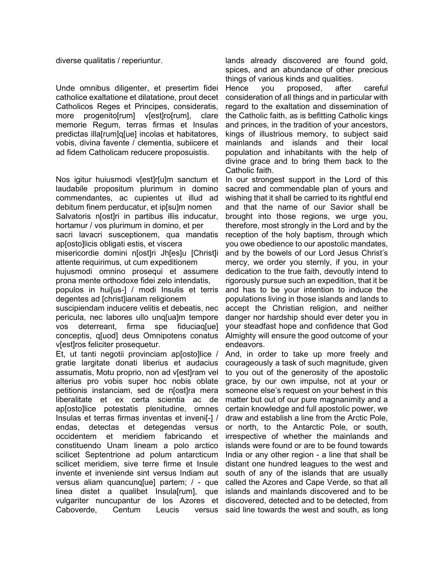diverse qualitatis / reperiuntur.

Unde omnibus diligenter, et presertim fidei catholice exaltatione et dilatatione, prout decet Catholicos Reges et Principes, consideratis, more progenito[rum] v[est]ro[rum], clare memorie Regum, terras firmas et Insulas predictas illa[rum]q[ue] incolas et habitatores, vobis, divina favente / clementia, subiicere et ad fidem Catholicam reducere proposuistis.

Nos igitur huiusmodi v[est]r[u]m sanctum et laudabile propositum plurimum in domino commendantes, ac cupientes ut illud ad debitum finem perducatur, et ip[su]m nomen Salvatoris n[ost]ri in partibus illis inducatur, hortamur / vos plurimum in domino, et per sacri lavacri susceptionem, qua mandatis ap[osto]licis obligati estis, et viscera misericordie domini n[ost]ri Jh[es]u [Christ]i attente requirimus, ut cum expeditionem hujusmodi omnino prosequi et assumere prona mente orthodoxe fidei zelo intendatis, populos in hui[us-] / modi Insulis et terris

degentes ad [christ]ianam religionem

suscipiendam inducere velitis et debeatis, nec pericula, nec labores ullo unq[ua]m tempore vos deterreant, firma spe fiduciaq[ue] conceptis, q[uod] deus Omnipotens conatus v[est]ros feliciter prosequetur.

Et, ut tanti negotii provinciam ap[osto]lice / gratie largitate donati liberius et audacius assumatis, Motu proprio, non ad v[est]ram vel alterius pro vobis super hoc nobis oblate petitionis instanciam, sed de n[ost]ra mera liberalitate et ex certa scientia ac de ap[osto]lice potestatis plenitudine, omnes Insulas et terras firmas inventas et inveni[-] / endas, detectas et detegendas versus occidentem et meridiem fabricando et constituendo Unam lineam a polo arctico scilicet Septentrione ad polum antarcticum scilicet meridiem, sive terre firme et Insule invente et inveniende sint versus Indiam aut versus aliam quancunq[ue] partem; / - que linea distet a qualibet Insula[rum], que vulgariter nuncupantur de los Azores et Caboverde, Centum Leucis versus

lands already discovered are found gold, spices, and an abundance of other precious things of various kinds and qualities.

Hence you proposed, after careful consideration of all things and in particular with regard to the exaltation and dissemination of the Catholic faith, as is befitting Catholic kings and princes, in the tradition of your ancestors, kings of illustrious memory, to subject said mainlands and islands and their local population and inhabitants with the help of divine grace and to bring them back to the Catholic faith.

In our strongest support in the Lord of this sacred and commendable plan of yours and wishing that it shall be carried to its rightful end and that the name of our Savior shall be brought into those regions, we urge you, therefore, most strongly in the Lord and by the reception of the holy baptism, through which you owe obedience to our apostolic mandates, and by the bowels of our Lord Jesus Christ's mercy, we order you sternly, if you, in your dedication to the true faith, devoutly intend to rigorously pursue such an expedition, that it be and has to be your intention to induce the populations living in those islands and lands to accept the Christian religion, and neither danger nor hardship should ever deter you in your steadfast hope and confidence that God Almighty will ensure the good outcome of your endeavors.

And, in order to take up more freely and courageously a task of such magnitude, given to you out of the generosity of the apostolic grace, by our own impulse, not at your or someone else's request on your behest in this matter but out of our pure magnanimity and a certain knowledge and full apostolic power, we draw and establish a line from the Arctic Pole, or north, to the Antarctic Pole, or south, irrespective of whether the mainlands and islands were found or are to be found towards India or any other region - a line that shall be distant one hundred leagues to the west and south of any of the islands that are usually called the Azores and Cape Verde, so that all islands and mainlands discovered and to be discovered, detected and to be detected, from said line towards the west and south, as long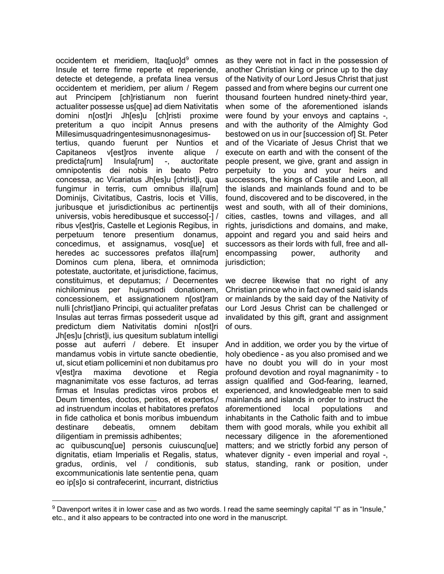occidentem et meridiem, Itaq[uo]d<sup>[9](#page-5-0)</sup> omnes Insule et terre firme reperte et reperiende, detecte et detegende, a prefata linea versus occidentem et meridiem, per alium / Regem aut Principem [ch]ristianum non fuerint actualiter possesse us[que] ad diem Nativitatis domini n[ost]ri Jh[es]u [ch]risti proxime preteritum a quo incipit Annus presens Millesimusquadringentesimusnonagesimustertius, quando fuerunt per Nuntios et Capitaneos v[est]ros invente alique / predicta[rum] Insula[rum] -, auctoritate omnipotentis dei nobis in beato Petro concessa, ac Vicariatus Jh[es]u [christ]i, qua fungimur in terris, cum omnibus illa[rum] Dominijs, Civitatibus, Castris, locis et Villis, juribusque et jurisdictionibus ac pertinentijs universis, vobis heredibusque et successo[-] / ribus v[est]ris, Castelle et Legionis Regibus, in perpetuum tenore presentium donamus, concedimus, et assignamus, vosq[ue] et heredes ac successores prefatos illa[rum] Dominos cum plena, libera, et omnimoda potestate, auctoritate, et jurisdictione, facimus, constituimus, et deputamus; / Decernentes nichilominus per hujusmodi donationem, concessionem, et assignationem n[ost]ram nulli [christ]iano Principi, qui actualiter prefatas Insulas aut terras firmas possederit usque ad predictum diem Nativitatis domini n[ost]ri Jh[es]u [christ]i, ius quesitum sublatum intelligi posse aut auferri / debere. Et insuper mandamus vobis in virtute sancte obedientie, ut, sicut etiam pollicemini et non dubitamus pro v[est]ra maxima devotione et Regia magnanimitate vos esse facturos, ad terras firmas et Insulas predictas viros probos et Deum timentes, doctos, peritos, et expertos,/ ad instruendum incolas et habitatores prefatos in fide catholica et bonis moribus imbuendum destinare debeatis, omnem debitam diligentiam in premissis adhibentes;

ac quibuscunq[ue] personis cuiuscunq[ue] dignitatis, etiam Imperialis et Regalis, status, gradus, ordinis, vel / conditionis, sub excommunicationis late sententie pena, quam eo ip[s]o si contrafecerint, incurrant, districtius

as they were not in fact in the possession of another Christian king or prince up to the day of the Nativity of our Lord Jesus Christ that just passed and from where begins our current one thousand fourteen hundred ninety-third year, when some of the aforementioned islands were found by your envoys and captains -, and with the authority of the Almighty God bestowed on us in our [succession of] St. Peter and of the Vicariate of Jesus Christ that we execute on earth and with the consent of the people present, we give, grant and assign in perpetuity to you and your heirs and successors, the kings of Castile and Leon, all the islands and mainlands found and to be found, discovered and to be discovered, in the west and south, with all of their dominions, cities, castles, towns and villages, and all rights, jurisdictions and domains, and make, appoint and regard you and said heirs and successors as their lords with full, free and allencompassing power, authority and jurisdiction;

we decree likewise that no right of any Christian prince who in fact owned said islands or mainlands by the said day of the Nativity of our Lord Jesus Christ can be challenged or invalidated by this gift, grant and assignment of ours.

And in addition, we order you by the virtue of holy obedience - as you also promised and we have no doubt you will do in your most profound devotion and royal magnanimity - to assign qualified and God-fearing, learned, experienced, and knowledgeable men to said mainlands and islands in order to instruct the aforementioned local populations and inhabitants in the Catholic faith and to imbue them with good morals, while you exhibit all necessary diligence in the aforementioned matters; and we strictly forbid any person of whatever dignity - even imperial and royal -, status, standing, rank or position, under

<span id="page-5-0"></span> $9$  Davenport writes it in lower case and as two words. I read the same seemingly capital "I" as in "Insule," etc., and it also appears to be contracted into one word in the manuscript.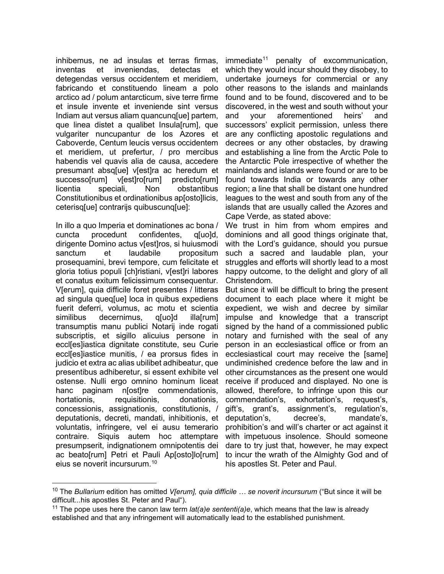inhibemus, ne ad insulas et terras firmas, inventas et inveniendas, detectas et detegendas versus occidentem et meridiem, fabricando et constituendo lineam a polo arctico ad / polum antarcticum, sive terre firme et insule invente et inveniende sint versus Indiam aut versus aliam quancunq[ue] partem, que linea distet a qualibet Insula[rum], que vulgariter nuncupantur de los Azores et Caboverde, Centum leucis versus occidentem et meridiem, ut prefertur, / pro mercibus habendis vel quavis alia de causa, accedere presumant absq[ue] v[est]ra ac heredum et successo[rum] v[est]ro[rum] predicto[rum] licentia speciali, Non obstantibus Constitutionibus et ordinationibus ap[osto]licis, ceterisq[ue] contrarijs quibuscunq[ue]:

In illo a quo Imperia et dominationes ac bona / cuncta procedunt confidentes, q[uo]d, dirigente Domino actus viestiros, si huiusmodi sanctum et laudabile propositum prosequamini, brevi tempore, cum felicitate et gloria totius populi [ch]ristiani, v[est]ri labores et conatus exitum felicissimum consequentur. V[erum], quia difficile foret presentes / litteras ad singula queq[ue] loca in quibus expediens fuerit deferri, volumus, ac motu et scientia similibus decernimus, q[uo]d illa[rum] transumptis manu publici Notarij inde rogati subscriptis, et sigillo alicuius persone in eccl[es]iastica dignitate constitute, seu Curie eccl[es]iastice munitis, / ea prorsus fides in judicio et extra ac alias ubilibet adhibeatur, que presentibus adhiberetur, si essent exhibite vel ostense. Nulli ergo omnino hominum liceat hanc paginam n[ost]re commendationis, hortationis, requisitionis, donationis, concessionis, assignationis, constitutionis, / deputationis, decreti, mandati, inhibitionis, et voluntatis, infringere, vel ei ausu temerario contraire. Siquis autem hoc attemptare presumpserit, indignationem omnipotentis dei ac beato[rum] Petri et Pauli Ap[osto]lo[rum] eius se noverit incursurum.<sup>[10](#page-6-0)</sup>

 $immediate^{11}$  $immediate^{11}$  $immediate^{11}$  penalty of excommunication, which they would incur should they disobey, to undertake journeys for commercial or any other reasons to the islands and mainlands found and to be found, discovered and to be discovered, in the west and south without your and your aforementioned heirs' and successors' explicit permission, unless there are any conflicting apostolic regulations and decrees or any other obstacles, by drawing and establishing a line from the Arctic Pole to the Antarctic Pole irrespective of whether the mainlands and islands were found or are to be found towards India or towards any other region; a line that shall be distant one hundred leagues to the west and south from any of the islands that are usually called the Azores and Cape Verde, as stated above:

We trust in him from whom empires and dominions and all good things originate that, with the Lord's quidance, should you pursue such a sacred and laudable plan, your struggles and efforts will shortly lead to a most happy outcome, to the delight and glory of all Christendom.

But since it will be difficult to bring the present document to each place where it might be expedient, we wish and decree by similar impulse and knowledge that a transcript signed by the hand of a commissioned public notary and furnished with the seal of any person in an ecclesiastical office or from an ecclesiastical court may receive the [same] undiminished credence before the law and in other circumstances as the present one would receive if produced and displayed. No one is allowed, therefore, to infringe upon this our commendation's, exhortation's, request's, gift's, grant's, assignment's, regulation's, deputation's, decree's, mandate's, prohibition's and will's charter or act against it with impetuous insolence. Should someone dare to try just that, however, he may expect to incur the wrath of the Almighty God and of his apostles St. Peter and Paul.

<span id="page-6-0"></span><sup>10</sup> The *Bullarium* edition has omitted *V[erum], quia difficile … se noverit incursurum* ("But since it will be difficult...his apostles St. Peter and Paul").

<span id="page-6-1"></span><sup>&</sup>lt;sup>11</sup> The pope uses here the canon law term *lat(a)e sententi(a)e*, which means that the law is already established and that any infringement will automatically lead to the established punishment.